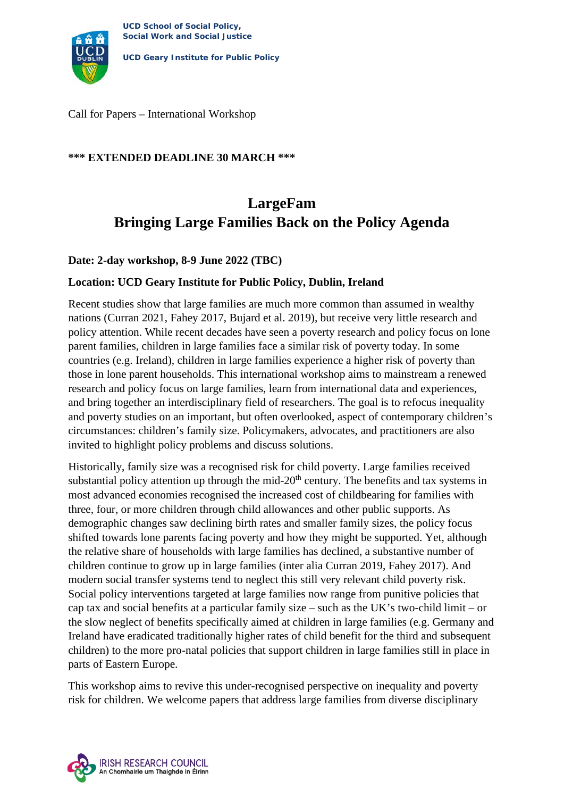

**UCD Geary Institute for Public Policy**

Call for Papers – International Workshop

### **\*\*\* EXTENDED DEADLINE 30 MARCH \*\*\***

# **LargeFam Bringing Large Families Back on the Policy Agenda**

### **Date: 2-day workshop, 8-9 June 2022 (TBC)**

### **Location: UCD Geary Institute for Public Policy, Dublin, Ireland**

Recent studies show that large families are much more common than assumed in wealthy nations (Curran 2021, Fahey 2017, Bujard et al. 2019), but receive very little research and policy attention. While recent decades have seen a poverty research and policy focus on lone parent families, children in large families face a similar risk of poverty today. In some countries (e.g. Ireland), children in large families experience a higher risk of poverty than those in lone parent households. This international workshop aims to mainstream a renewed research and policy focus on large families, learn from international data and experiences, and bring together an interdisciplinary field of researchers. The goal is to refocus inequality and poverty studies on an important, but often overlooked, aspect of contemporary children's circumstances: children's family size. Policymakers, advocates, and practitioners are also invited to highlight policy problems and discuss solutions.

Historically, family size was a recognised risk for child poverty. Large families received substantial policy attention up through the mid- $20<sup>th</sup>$  century. The benefits and tax systems in most advanced economies recognised the increased cost of childbearing for families with three, four, or more children through child allowances and other public supports. As demographic changes saw declining birth rates and smaller family sizes, the policy focus shifted towards lone parents facing poverty and how they might be supported. Yet, although the relative share of households with large families has declined, a substantive number of children continue to grow up in large families (inter alia Curran 2019, Fahey 2017). And modern social transfer systems tend to neglect this still very relevant child poverty risk. Social policy interventions targeted at large families now range from punitive policies that cap tax and social benefits at a particular family size – such as the UK's two-child limit – or the slow neglect of benefits specifically aimed at children in large families (e.g. Germany and Ireland have eradicated traditionally higher rates of child benefit for the third and subsequent children) to the more pro-natal policies that support children in large families still in place in parts of Eastern Europe.

This workshop aims to revive this under-recognised perspective on inequality and poverty risk for children. We welcome papers that address large families from diverse disciplinary

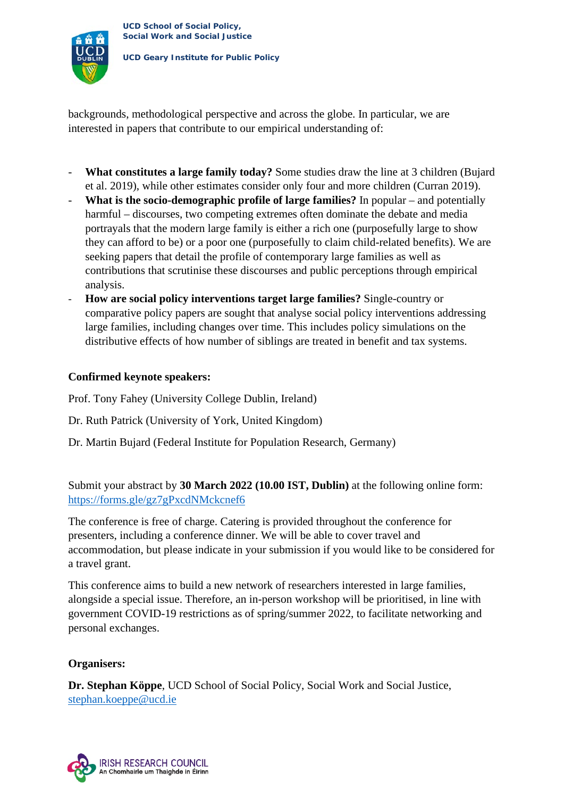

**UCD Geary Institute for Public Policy**

backgrounds, methodological perspective and across the globe. In particular, we are interested in papers that contribute to our empirical understanding of:

- **What constitutes a large family today?** Some studies draw the line at 3 children (Bujard et al. 2019), while other estimates consider only four and more children (Curran 2019).
- **What is the socio-demographic profile of large families?** In popular and potentially harmful – discourses, two competing extremes often dominate the debate and media portrayals that the modern large family is either a rich one (purposefully large to show they can afford to be) or a poor one (purposefully to claim child-related benefits). We are seeking papers that detail the profile of contemporary large families as well as contributions that scrutinise these discourses and public perceptions through empirical analysis.
- **How are social policy interventions target large families?** Single-country or comparative policy papers are sought that analyse social policy interventions addressing large families, including changes over time. This includes policy simulations on the distributive effects of how number of siblings are treated in benefit and tax systems.

## **Confirmed keynote speakers:**

Prof. Tony Fahey (University College Dublin, Ireland)

- Dr. Ruth Patrick (University of York, United Kingdom)
- Dr. Martin Bujard (Federal Institute for Population Research, Germany)

Submit your abstract by **30 March 2022 (10.00 IST, Dublin)** at the following online form: <https://forms.gle/gz7gPxcdNMckcnef6>

The conference is free of charge. Catering is provided throughout the conference for presenters, including a conference dinner. We will be able to cover travel and accommodation, but please indicate in your submission if you would like to be considered for a travel grant.

This conference aims to build a new network of researchers interested in large families, alongside a special issue. Therefore, an in-person workshop will be prioritised, in line with government COVID-19 restrictions as of spring/summer 2022, to facilitate networking and personal exchanges.

#### **Organisers:**

**Dr. Stephan Köppe**, UCD School of Social Policy, Social Work and Social Justice, [stephan.koeppe@ucd.ie](mailto:stephan.koeppe@ucd.ie)